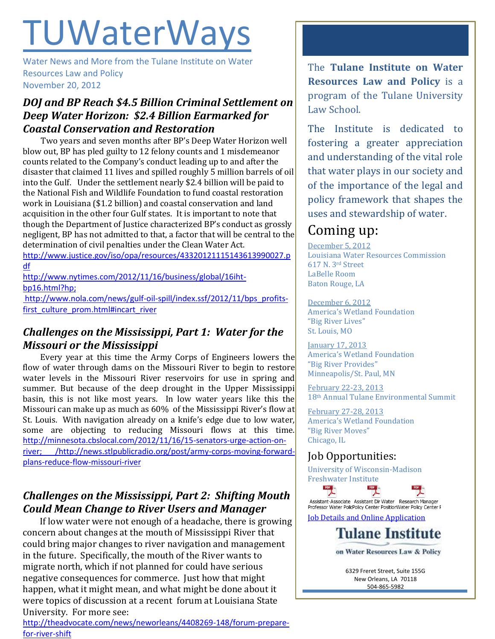# TUWaterWays

Water News and More from the Tulane Institute on Water Resources Law and Policy November 20, 2012

#### *DOJ and BP Reach \$4.5 Billion Criminal Settlement on Deep Water Horizon: \$2.4 Billion Earmarked for Coastal Conservation and Restoration*

Two years and seven months after BP's Deep Water Horizon well blow out, BP has pled guilty to 12 felony counts and 1 misdemeanor counts related to the Company's conduct leading up to and after the disaster that claimed 11 lives and spilled roughly 5 million barrels of oil into the Gulf. Under the settlement nearly \$2.4 billion will be paid to the National Fish and Wildlife Foundation to fund coastal restoration work in Louisiana (\$1.2 billion) and coastal conservation and land acquisition in the other four Gulf states. It is important to note that though the Department of Justice characterized BP's conduct as grossly negligent, BP has not admitted to that, a factor that will be central to the determination of civil penalties under the Clean Water Act. [http://www.justice.gov/iso/opa/resources/43320121115143613990027.p](http://www.justice.gov/iso/opa/resources/43320121115143613990027.pdf)

[df](http://www.justice.gov/iso/opa/resources/43320121115143613990027.pdf) [http://www.nytimes.com/2012/11/16/business/global/16iht](http://www.nytimes.com/2012/11/16/business/global/16iht-bp16.html?hp)[bp16.html?hp;](http://www.nytimes.com/2012/11/16/business/global/16iht-bp16.html?hp)

[http://www.nola.com/news/gulf-oil-spill/index.ssf/2012/11/bps\\_profits](http://www.nola.com/news/gulf-oil-spill/index.ssf/2012/11/bps_profits-first_culture_prom.html#incart_river)[first\\_culture\\_prom.html#incart\\_river](http://www.nola.com/news/gulf-oil-spill/index.ssf/2012/11/bps_profits-first_culture_prom.html#incart_river)

#### *Challenges on the Mississippi, Part 1: Water for the Missouri or the Mississippi*

Every year at this time the Army Corps of Engineers lowers the flow of water through dams on the Missouri River to begin to restore water levels in the Missouri River reservoirs for use in spring and summer. But because of the deep drought in the Upper Mississippi basin, this is not like most years. In low water years like this the Missouri can make up as much as 60% of the Mississippi River's flow at St. Louis. With navigation already on a knife's edge due to low water, some are objecting to reducing Missouri flows at this time. [http://minnesota.cbslocal.com/2012/11/16/15-senators-urge-action-on](http://minnesota.cbslocal.com/2012/11/16/15-senators-urge-action-on-river;%20/)[river; /](http://minnesota.cbslocal.com/2012/11/16/15-senators-urge-action-on-river;%20/)[http://news.stlpublicradio.org/post/army-corps-moving-forward](http://news.stlpublicradio.org/post/army-corps-moving-forward-plans-reduce-flow-missouri-river)[plans-reduce-flow-missouri-river](http://news.stlpublicradio.org/post/army-corps-moving-forward-plans-reduce-flow-missouri-river)

#### *Challenges on the Mississippi, Part 2: Shifting Mouth Could Mean Change to River Users and Manager*

 If low water were not enough of a headache, there is growing concern about changes at the mouth of Mississippi River that could bring major changes to river navigation and management in the future. Specifically, the mouth of the River wants to migrate north, which if not planned for could have serious negative consequences for commerce. Just how that might happen, what it might mean, and what might be done about it were topics of discussion at a recent forum at Louisiana State University. For more see:

[http://theadvocate.com/news/neworleans/4408269-148/forum-prepare](http://theadvocate.com/news/neworleans/4408269-148/forum-prepare-for-river-shift)[for-river-shift](http://theadvocate.com/news/neworleans/4408269-148/forum-prepare-for-river-shift)

The **Tulane Institute on Water Resources Law and Policy** is a program of the Tulane University Law School.

The Institute is dedicated to fostering a greater appreciation and understanding of the vital role that water plays in our society and of the importance of the legal and policy framework that shapes the uses and stewardship of water.

## Coming up:

December 5, 2012 Louisiana Water Resources Commission 617 N. 3rd Street LaBelle Room Baton Rouge, LA

December 6, 2012 America's Wetland Foundation "Big River Lives" St. Louis, MO

January 17, 2013 America's Wetland Foundation "Big River Provides" Minneapolis/St. Paul, MN

February 22-23, 2013 18th Annual Tulane Environmental Summit

February 27-28, 2013 America's Wetland Foundation "Big River Moves" Chicago, IL

### Job Opportunities:

 $\frac{PDF}{\sqrt{2}}$ 

University of Wisconsin-Madison Freshwater Institute



Assistant-Associate Assistant Dir Water Research Manager Professor Water PolicPolicy Center PositionWater Policy Center F

 $\frac{PDF}{\lambda}$ 

[Job Details and Online Application](https://www.usajobs.gov/GetJob/ViewDetails/329828600)



on Water Resources Law & Policy

6329 Freret Street, Suite 155G New Orleans, LA 70118 504-865-5982

<http://www.law.tulane.edu/enlaw/>enlaw/enlaw/enlaw/enlaw/enlaw/enlaw/enlaw/enlaw/